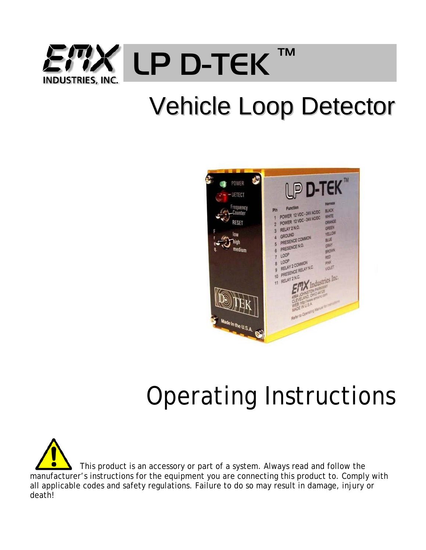

# Vehicle Loop Detector



# Operating Instructions

 This product is an accessory or part of a system. Always read and follow the manufacturer's instructions for the equipment you are connecting this product to. Comply with all applicable codes and safety regulations. Failure to do so may result in damage, injury or death!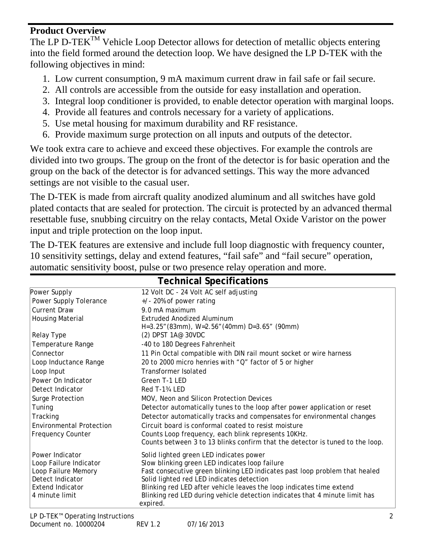#### **Product Overview**

The LP D-TEK<sup>TM</sup> Vehicle Loop Detector allows for detection of metallic objects entering into the field formed around the detection loop. We have designed the LP D-TEK with the following objectives in mind:

- 1. Low current consumption, 9 mA maximum current draw in fail safe or fail secure.
- 2. All controls are accessible from the outside for easy installation and operation.
- 3. Integral loop conditioner is provided, to enable detector operation with marginal loops.
- 4. Provide all features and controls necessary for a variety of applications.
- 5. Use metal housing for maximum durability and RF resistance.
- 6. Provide maximum surge protection on all inputs and outputs of the detector.

We took extra care to achieve and exceed these objectives. For example the controls are divided into two groups. The group on the front of the detector is for basic operation and the group on the back of the detector is for advanced settings. This way the more advanced settings are not visible to the casual user.

The D-TEK is made from aircraft quality anodized aluminum and all switches have gold plated contacts that are sealed for protection. The circuit is protected by an advanced thermal resettable fuse, snubbing circuitry on the relay contacts, Metal Oxide Varistor on the power input and triple protection on the loop input.

The D-TEK features are extensive and include full loop diagnostic with frequency counter, 10 sensitivity settings, delay and extend features, "fail safe" and "fail secure" operation, automatic sensitivity boost, pulse or two presence relay operation and more.

| <b>Technical Specifications</b> |                                                                                         |  |  |  |  |  |
|---------------------------------|-----------------------------------------------------------------------------------------|--|--|--|--|--|
| Power Supply                    | 12 Volt DC - 24 Volt AC self adjusting                                                  |  |  |  |  |  |
| Power Supply Tolerance          | $+/-$ 20% of power rating                                                               |  |  |  |  |  |
| <b>Current Draw</b>             | 9.0 mA maximum                                                                          |  |  |  |  |  |
| <b>Housing Material</b>         | Extruded Anodized Aluminum                                                              |  |  |  |  |  |
|                                 | H=3.25" (83mm), W=2.56" (40mm) D=3.65" (90mm)                                           |  |  |  |  |  |
| Relay Type                      | (2) DPST 1A@ 30VDC                                                                      |  |  |  |  |  |
| Temperature Range               | -40 to 180 Degrees Fahrenheit                                                           |  |  |  |  |  |
| Connector                       | 11 Pin Octal compatible with DIN rail mount socket or wire harness                      |  |  |  |  |  |
| Loop Inductance Range           | 20 to 2000 micro henries with "Q" factor of 5 or higher                                 |  |  |  |  |  |
| Loop Input                      | <b>Transformer Isolated</b>                                                             |  |  |  |  |  |
| Power On Indicator              | Green T-1 LED                                                                           |  |  |  |  |  |
| Detect Indicator                | Red T-13/4 LED                                                                          |  |  |  |  |  |
| Surge Protection                | MOV, Neon and Silicon Protection Devices                                                |  |  |  |  |  |
| Tuning                          | Detector automatically tunes to the loop after power application or reset               |  |  |  |  |  |
| Tracking                        | Detector automatically tracks and compensates for environmental changes                 |  |  |  |  |  |
| <b>Environmental Protection</b> | Circuit board is conformal coated to resist moisture                                    |  |  |  |  |  |
| <b>Frequency Counter</b>        | Counts Loop frequency, each blink represents 10KHz.                                     |  |  |  |  |  |
|                                 | Counts between 3 to 13 blinks confirm that the detector is tuned to the loop.           |  |  |  |  |  |
| Power Indicator                 | Solid lighted green LED indicates power                                                 |  |  |  |  |  |
| Loop Failure Indicator          | Slow blinking green LED indicates loop failure                                          |  |  |  |  |  |
| Loop Failure Memory             | Fast consecutive green blinking LED indicates past loop problem that healed             |  |  |  |  |  |
| Detect Indicator                | Solid lighted red LED indicates detection                                               |  |  |  |  |  |
| <b>Extend Indicator</b>         | Blinking red LED after vehicle leaves the loop indicates time extend                    |  |  |  |  |  |
| 4 minute limit                  | Blinking red LED during vehicle detection indicates that 4 minute limit has<br>expired. |  |  |  |  |  |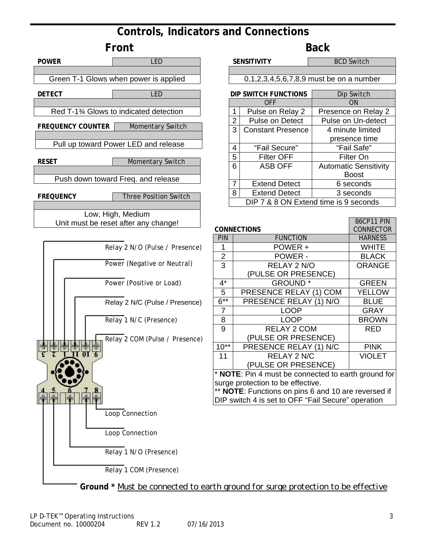## **Controls, Indicators and Connections**



RED

VIOLET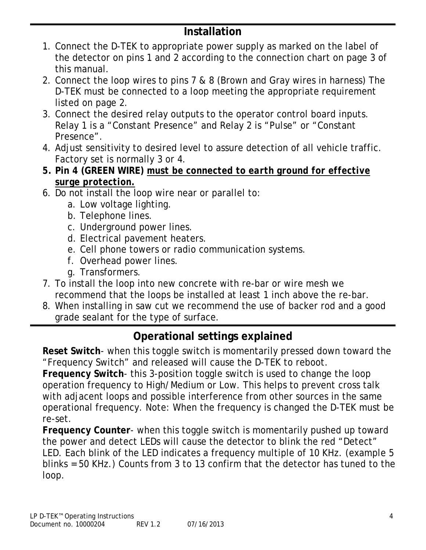## **Installation**

- 1. Connect the D-TEK to appropriate power supply as marked on the label of the detector on pins 1 and 2 according to the connection chart on page 3 of this manual.
- 2. Connect the loop wires to pins 7 & 8 (Brown and Gray wires in harness) The D-TEK must be connected to a loop meeting the appropriate requirement listed on page 2.
- 3. Connect the desired relay outputs to the operator control board inputs. Relay 1 is a "Constant Presence" and Relay 2 is "Pulse" or "Constant Presence".
- 4. Adjust sensitivity to desired level to assure detection of all vehicle traffic. Factory set is normally 3 or 4.
- *5.* **Pin 4 (GREEN WIRE)** *must be connected to earth ground for effective surge protection.*
- 6. Do not install the loop wire near or parallel to:
	- a. Low voltage lighting.
	- b. Telephone lines.
	- c. Underground power lines.
	- d. Electrical pavement heaters.
	- e. Cell phone towers or radio communication systems.
	- f. Overhead power lines.
	- g. Transformers.
- 7. To install the loop into new concrete with re-bar or wire mesh we recommend that the loops be installed at least 1 inch above the re-bar.
- 8. When installing in saw cut we recommend the use of backer rod and a good grade sealant for the type of surface.

## **Operational settings explained**

**Reset Switch**- when this toggle switch is momentarily pressed down toward the "Frequency Switch" and released will cause the D-TEK to reboot.

**Frequency Switch**- this 3-position toggle switch is used to change the loop operation frequency to High/Medium or Low. This helps to prevent cross talk with adjacent loops and possible interference from other sources in the same operational frequency. Note: When the frequency is changed the D-TEK must be re-set.

**Frequency Counter**- when this toggle switch is momentarily pushed up toward the power and detect LEDs will cause the detector to blink the red "Detect" LED. Each blink of the LED indicates a frequency multiple of 10 KHz. (example 5 blinks = 50 KHz.) Counts from 3 to 13 confirm that the detector has tuned to the loop.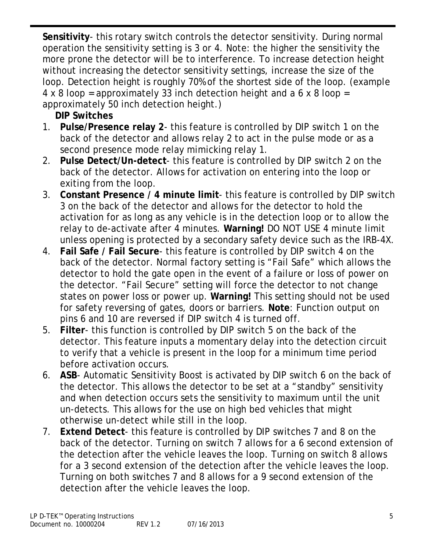**Sensitivity**- this rotary switch controls the detector sensitivity. During normal operation the sensitivity setting is 3 or 4. Note: the higher the sensitivity the more prone the detector will be to interference. To increase detection height without increasing the detector sensitivity settings, increase the size of the loop. Detection height is roughly 70% of the shortest side of the loop. (example 4 x 8 loop = approximately 33 inch detection height and a 6 x 8 loop = approximately 50 inch detection height.)

**DIP Switches** 

- 1. **Pulse/Presence relay 2** this feature is controlled by DIP switch 1 on the back of the detector and allows relay 2 to act in the pulse mode or as a second presence mode relay mimicking relay 1.
- 2. **Pulse Detect/Un-detect** this feature is controlled by DIP switch 2 on the back of the detector. Allows for activation on entering into the loop or exiting from the loop.
- 3. **Constant Presence / 4 minute limit** this feature is controlled by DIP switch 3 on the back of the detector and allows for the detector to hold the activation for as long as any vehicle is in the detection loop or to allow the relay to de-activate after 4 minutes. **Warning!** DO NOT USE 4 minute limit unless opening is protected by a secondary safety device such as the IRB-4X.
- 4. **Fail Safe / Fail Secure** this feature is controlled by DIP switch 4 on the back of the detector. Normal factory setting is "Fail Safe" which allows the detector to hold the gate open in the event of a failure or loss of power on the detector. "Fail Secure" setting will force the detector to not change states on power loss or power up. **Warning!** This setting should not be used for safety reversing of gates, doors or barriers. **Note**: Function output on pins 6 and 10 are reversed if DIP switch 4 is turned off.
- 5. **Filter** this function is controlled by DIP switch 5 on the back of the detector. This feature inputs a momentary delay into the detection circuit to verify that a vehicle is present in the loop for a minimum time period before activation occurs.
- 6. **ASB** Automatic Sensitivity Boost is activated by DIP switch 6 on the back of the detector. This allows the detector to be set at a "standby" sensitivity and when detection occurs sets the sensitivity to maximum until the unit un-detects. This allows for the use on high bed vehicles that might otherwise un-detect while still in the loop.
- 7. **Extend Detect** this feature is controlled by DIP switches 7 and 8 on the back of the detector. Turning on switch 7 allows for a 6 second extension of the detection after the vehicle leaves the loop. Turning on switch 8 allows for a 3 second extension of the detection after the vehicle leaves the loop. Turning on both switches 7 and 8 allows for a 9 second extension of the detection after the vehicle leaves the loop.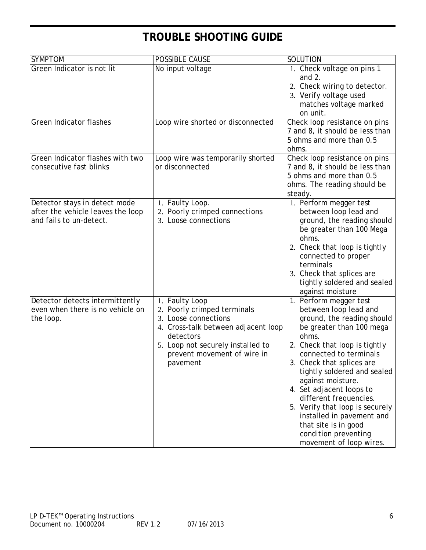# **TROUBLE SHOOTING GUIDE**

| <b>SYMPTOM</b>                                                                                | POSSIBLE CAUSE                                                                                                                                                                                            | SOLUTION                                                                                                                                                                                                                                                                                                                                                                                                                                                     |  |  |
|-----------------------------------------------------------------------------------------------|-----------------------------------------------------------------------------------------------------------------------------------------------------------------------------------------------------------|--------------------------------------------------------------------------------------------------------------------------------------------------------------------------------------------------------------------------------------------------------------------------------------------------------------------------------------------------------------------------------------------------------------------------------------------------------------|--|--|
| Green Indicator is not lit                                                                    | No input voltage                                                                                                                                                                                          | 1. Check voltage on pins 1<br>and $2$ .<br>2. Check wiring to detector.<br>3. Verify voltage used<br>matches voltage marked<br>on unit.                                                                                                                                                                                                                                                                                                                      |  |  |
| <b>Green Indicator flashes</b><br>Green Indicator flashes with two                            | Loop wire shorted or disconnected<br>Loop wire was temporarily shorted                                                                                                                                    | Check loop resistance on pins<br>7 and 8, it should be less than<br>5 ohms and more than 0.5<br>ohms.<br>Check loop resistance on pins                                                                                                                                                                                                                                                                                                                       |  |  |
| consecutive fast blinks                                                                       | or disconnected                                                                                                                                                                                           | 7 and 8, it should be less than<br>5 ohms and more than 0.5<br>ohms. The reading should be<br>steady.                                                                                                                                                                                                                                                                                                                                                        |  |  |
| Detector stays in detect mode<br>after the vehicle leaves the loop<br>and fails to un-detect. | 1. Faulty Loop.<br>2. Poorly crimped connections<br>3. Loose connections                                                                                                                                  | 1. Perform megger test<br>between loop lead and<br>ground, the reading should<br>be greater than 100 Mega<br>ohms.<br>2. Check that loop is tightly<br>connected to proper<br>terminals<br>3. Check that splices are<br>tightly soldered and sealed<br>against moisture                                                                                                                                                                                      |  |  |
| Detector detects intermittently<br>even when there is no vehicle on<br>the loop.              | 1. Faulty Loop<br>2. Poorly crimped terminals<br>3. Loose connections<br>4. Cross-talk between adjacent loop<br>detectors<br>5. Loop not securely installed to<br>prevent movement of wire in<br>pavement | 1. Perform megger test<br>between loop lead and<br>ground, the reading should<br>be greater than 100 mega<br>ohms.<br>2. Check that loop is tightly<br>connected to terminals<br>Check that splices are<br>tightly soldered and sealed<br>against moisture.<br>4. Set adjacent loops to<br>different frequencies.<br>5. Verify that loop is securely<br>installed in pavement and<br>that site is in good<br>condition preventing<br>movement of loop wires. |  |  |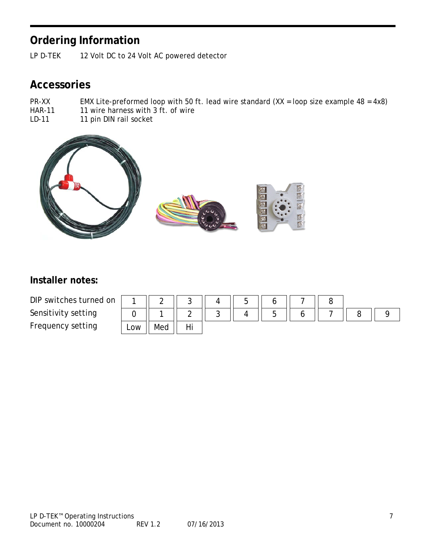## **Ordering Information**

LP D-TEK 12 Volt DC to 24 Volt AC powered detector

### **Accessories**

- PR-XX EMX Lite-preformed loop with 50 ft. lead wire standard  $(XX = loop size example 48 = 4x8)$
- HAR-11 11 wire harness with 3 ft. of wire<br>LD-11 11 pin DIN rail socket
- 11 pin DIN rail socket



#### **Installer notes:**

DIP switches turned on Sensitivity setting Frequency setting

|     |     | w        |        | –<br>∽<br>ີ |  |  |  |
|-----|-----|----------|--------|-------------|--|--|--|
|     |     |          | ີ<br>w |             |  |  |  |
| Low | Med | -11<br>. |        |             |  |  |  |